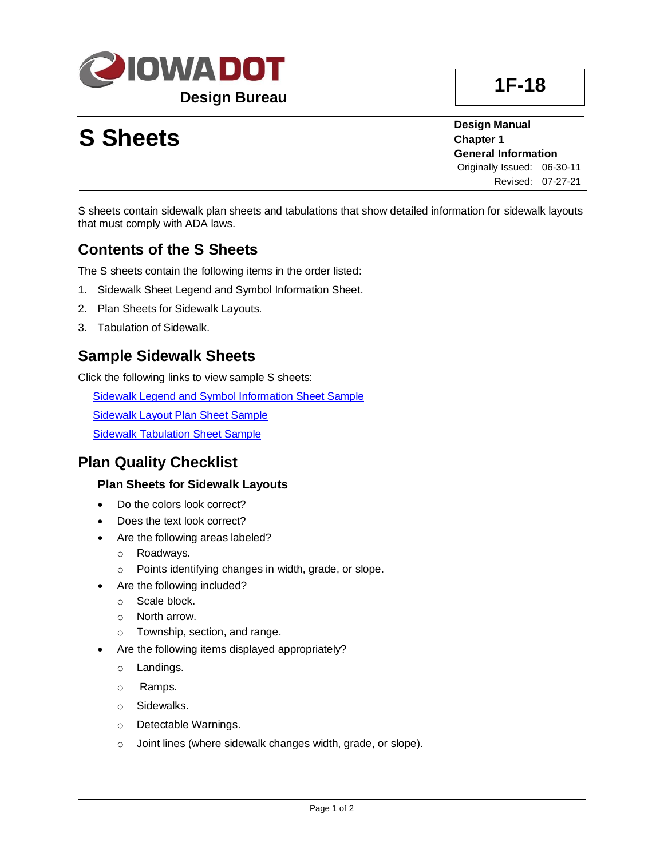

# **S Sheets**

**Design Manual Chapter 1 General Information** Originally Issued: 06-30-11 Revised: 07-27-21

S sheets contain sidewalk plan sheets and tabulations that show detailed information for sidewalk layouts that must comply with ADA laws.

# **Contents of the S Sheets**

The S sheets contain the following items in the order listed:

- 1. Sidewalk Sheet Legend and Symbol Information Sheet.
- 2. Plan Sheets for Sidewalk Layouts.
- 3. Tabulation of Sidewalk.

## **Sample Sidewalk Sheets**

Click the following links to view sample S sheets:

[Sidewalk Legend and Symbol Information Sheet Sample](01F-18/SidewalkLegendAndSymbolInfromationSheetSample.pdf)

**[Sidewalk Layout Plan Sheet Sample](01F-18/SidewakLayoutPlanSheetSample.pdf)** 

[Sidewalk Tabulation Sheet Sample](01F-18/SidewalkTabulationSheetSample.pdf)

### **Plan Quality Checklist**

#### **Plan Sheets for Sidewalk Layouts**

- Do the colors look correct?
- Does the text look correct?
- Are the following areas labeled?
	- o Roadways.
	- o Points identifying changes in width, grade, or slope.
	- Are the following included?
		- o Scale block.
		- o North arrow.
		- o Township, section, and range.
- Are the following items displayed appropriately?
	- o Landings.
	- o Ramps.
	- o Sidewalks.
	- o Detectable Warnings.
	- o Joint lines (where sidewalk changes width, grade, or slope).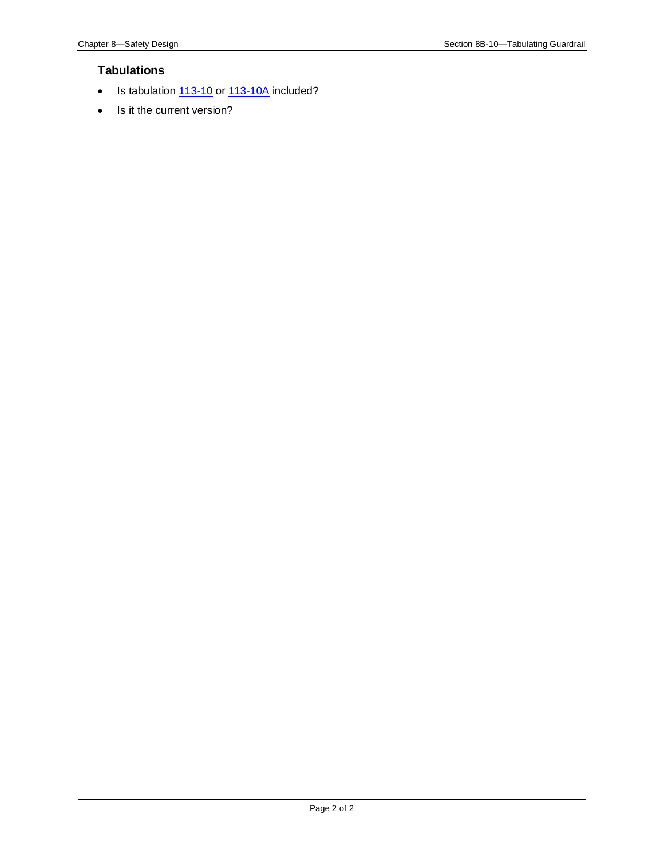#### **Tabulations**

- Is tabulation  $113-10$  or  $113-10A$  included?
- Is it the current version?